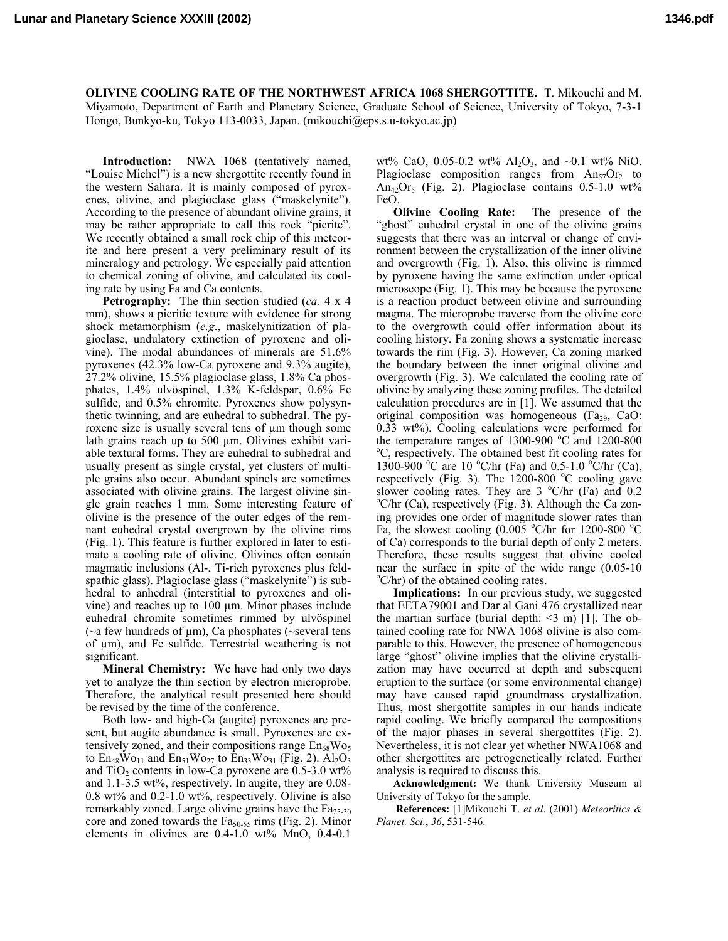**Lunar and Planetary Science XXXIII (2002) 1346.pdf**

**OLIVINE COOLING RATE OF THE NORTHWEST AFRICA 1068 SHERGOTTITE.** T. Mikouchi and M. Miyamoto, Department of Earth and Planetary Science, Graduate School of Science, University of Tokyo, 7-3-1 Hongo, Bunkyo-ku, Tokyo 113-0033, Japan. (mikouchi@eps.s.u-tokyo.ac.jp)

**Introduction:** NWA 1068 (tentatively named, "Louise Michel") is a new shergottite recently found in the western Sahara. It is mainly composed of pyroxenes, olivine, and plagioclase glass ("maskelynite"). According to the presence of abundant olivine grains, it may be rather appropriate to call this rock "picrite". We recently obtained a small rock chip of this meteorite and here present a very preliminary result of its mineralogy and petrology. We especially paid attention to chemical zoning of olivine, and calculated its cooling rate by using Fa and Ca contents.

**Petrography:** The thin section studied (*ca.* 4 x 4 mm), shows a picritic texture with evidence for strong shock metamorphism (*e.g*., maskelynitization of plagioclase, undulatory extinction of pyroxene and olivine). The modal abundances of minerals are 51.6% pyroxenes (42.3% low-Ca pyroxene and 9.3% augite), 27.2% olivine, 15.5% plagioclase glass, 1.8% Ca phosphates, 1.4% ulvöspinel, 1.3% K-feldspar, 0.6% Fe sulfide, and 0.5% chromite. Pyroxenes show polysynthetic twinning, and are euhedral to subhedral. The pyroxene size is usually several tens of µm though some lath grains reach up to 500 µm. Olivines exhibit variable textural forms. They are euhedral to subhedral and usually present as single crystal, yet clusters of multiple grains also occur. Abundant spinels are sometimes associated with olivine grains. The largest olivine single grain reaches 1 mm. Some interesting feature of olivine is the presence of the outer edges of the remnant euhedral crystal overgrown by the olivine rims (Fig. 1). This feature is further explored in later to estimate a cooling rate of olivine. Olivines often contain magmatic inclusions (Al-, Ti-rich pyroxenes plus feldspathic glass). Plagioclase glass ("maskelynite") is subhedral to anhedral (interstitial to pyroxenes and olivine) and reaches up to 100 µm. Minor phases include euhedral chromite sometimes rimmed by ulvöspinel ( $\sim$ a few hundreds of  $\mu$ m), Ca phosphates ( $\sim$ several tens of  $\mu$ m), and Fe sulfide. Terrestrial weathering is not significant.

**Mineral Chemistry:** We have had only two days yet to analyze the thin section by electron microprobe. Therefore, the analytical result presented here should be revised by the time of the conference.

Both low- and high-Ca (augite) pyroxenes are present, but augite abundance is small. Pyroxenes are extensively zoned, and their compositions range  $En<sub>68</sub>Wo<sub>5</sub>$ to  $En_{48}Wo_{11}$  and  $En_{51}Wo_{27}$  to  $En_{33}Wo_{31}$  (Fig. 2).  $Al_2O_3$ and  $TiO<sub>2</sub>$  contents in low-Ca pyroxene are 0.5-3.0 wt% and 1.1-3.5 wt%, respectively. In augite, they are 0.08-  $0.8 \text{ wt\%}$  and  $0.2-1.0 \text{ wt\%}$ , respectively. Olivine is also remarkably zoned. Large olivine grains have the  $Fa_{25-30}$ core and zoned towards the  $Fa_{50-55}$  rims (Fig. 2). Minor elements in olivines are  $0.4-1.0$  wt% MnO,  $0.4-0.1$ 

wt% CaO, 0.05-0.2 wt%  $Al_2O_3$ , and ~0.1 wt% NiO. Plagioclase composition ranges from  $An_{57}Or_2$  to An<sub>42</sub>Or<sub>5</sub> (Fig. 2). Plagioclase contains  $0.5-1.0 \text{ wt\%}$ FeO.

**Olivine Cooling Rate:** The presence of the "ghost" euhedral crystal in one of the olivine grains suggests that there was an interval or change of environment between the crystallization of the inner olivine and overgrowth (Fig. 1). Also, this olivine is rimmed by pyroxene having the same extinction under optical microscope (Fig. 1). This may be because the pyroxene is a reaction product between olivine and surrounding magma. The microprobe traverse from the olivine core to the overgrowth could offer information about its cooling history. Fa zoning shows a systematic increase towards the rim (Fig. 3). However, Ca zoning marked the boundary between the inner original olivine and overgrowth (Fig. 3). We calculated the cooling rate of olivine by analyzing these zoning profiles. The detailed calculation procedures are in [1]. We assumed that the original composition was homogeneous  $(Fa_{29}, CaO)$ : 0.33 wt%). Cooling calculations were performed for the temperature ranges of  $1300-900$  °C and  $1200-800$ <br>°C representively. The obtained best fit seeding rates for C, respectively. The obtained best fit cooling rates for 1300-900 °C are 10 °C/hr (Fa) and 0.5-1.0 °C/hr (Ca), respectively (Fig. 3). The  $1200-800$  °C cooling gave slower cooling rates. They are  $3^{\circ}$ C/hr (Fa) and 0.2  $\rm{C/hr}$  (Ca), respectively (Fig. 3). Although the Ca zoning provides one order of magnitude slower rates than Fa, the slowest cooling  $(0.005 \text{ °C/hr}$  for 1200-800  $\text{ °C}$ of Ca) corresponds to the burial depth of only 2 meters. Therefore, these results suggest that olivine cooled near the surface in spite of the wide range  $(0.05-10)$  $\rm{^oC/hr}$ ) of the obtained cooling rates.

**Implications:** In our previous study, we suggested that EETA79001 and Dar al Gani 476 crystallized near the martian surface (burial depth:  $\leq$ 3 m) [1]. The obtained cooling rate for NWA 1068 olivine is also comparable to this. However, the presence of homogeneous large "ghost" olivine implies that the olivine crystallization may have occurred at depth and subsequent eruption to the surface (or some environmental change) may have caused rapid groundmass crystallization. Thus, most shergottite samples in our hands indicate rapid cooling. We briefly compared the compositions of the major phases in several shergottites (Fig. 2). Nevertheless, it is not clear yet whether NWA1068 and other shergottites are petrogenetically related. Further analysis is required to discuss this.

**Acknowledgment:** We thank University Museum at University of Tokyo for the sample.

 **References:** [1]Mikouchi T. *et al*. (2001) *Meteoritics & Planet. Sci.*, *36*, 531-546.